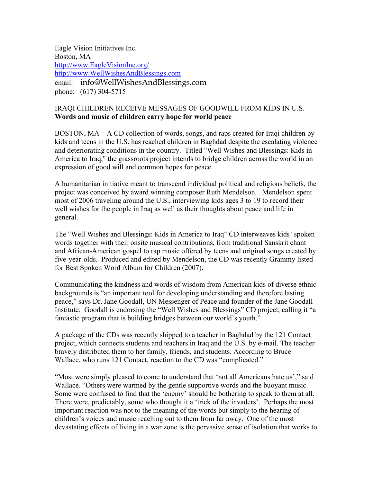Eagle Vision Initiatives Inc. Boston, MA http://www.EagleVisionInc.org/ http://www.WellWishesAndBlessings.com email: info@WellWishesAndBlessings.com phone: (617) 304-5715

## IRAQI CHILDREN RECEIVE MESSAGES OF GOODWILL FROM KIDS IN U.S. **Words and music of children carry hope for world peace**

BOSTON, MA—A CD collection of words, songs, and raps created for Iraqi children by kids and teens in the U.S. has reached children in Baghdad despite the escalating violence and deteriorating conditions in the country. Titled "Well Wishes and Blessings: Kids in America to Iraq," the grassroots project intends to bridge children across the world in an expression of good will and common hopes for peace.

A humanitarian initiative meant to transcend individual political and religious beliefs, the project was conceived by award winning composer Ruth Mendelson. Mendelson spent most of 2006 traveling around the U.S., interviewing kids ages 3 to 19 to record their well wishes for the people in Iraq as well as their thoughts about peace and life in general.

The "Well Wishes and Blessings: Kids in America to Iraq" CD interweaves kids' spoken words together with their onsite musical contributions, from traditional Sanskrit chant and African-American gospel to rap music offered by teens and original songs created by five-year-olds. Produced and edited by Mendelson, the CD was recently Grammy listed for Best Spoken Word Album for Children (2007).

Communicating the kindness and words of wisdom from American kids of diverse ethnic backgrounds is "an important tool for developing understanding and therefore lasting peace," says Dr. Jane Goodall, UN Messenger of Peace and founder of the Jane Goodall Institute. Goodall is endorsing the "Well Wishes and Blessings" CD project, calling it "a fantastic program that is building bridges between our world's youth."

A package of the CDs was recently shipped to a teacher in Baghdad by the 121 Contact project, which connects students and teachers in Iraq and the U.S. by e-mail. The teacher bravely distributed them to her family, friends, and students. According to Bruce Wallace, who runs 121 Contact, reaction to the CD was "complicated."

"Most were simply pleased to come to understand that 'not all Americans hate us'," said Wallace. "Others were warmed by the gentle supportive words and the buoyant music. Some were confused to find that the 'enemy' should be bothering to speak to them at all. There were, predictably, some who thought it a 'trick of the invaders'. Perhaps the most important reaction was not to the meaning of the words but simply to the hearing of children's voices and music reaching out to them from far away. One of the most devastating effects of living in a war zone is the pervasive sense of isolation that works to